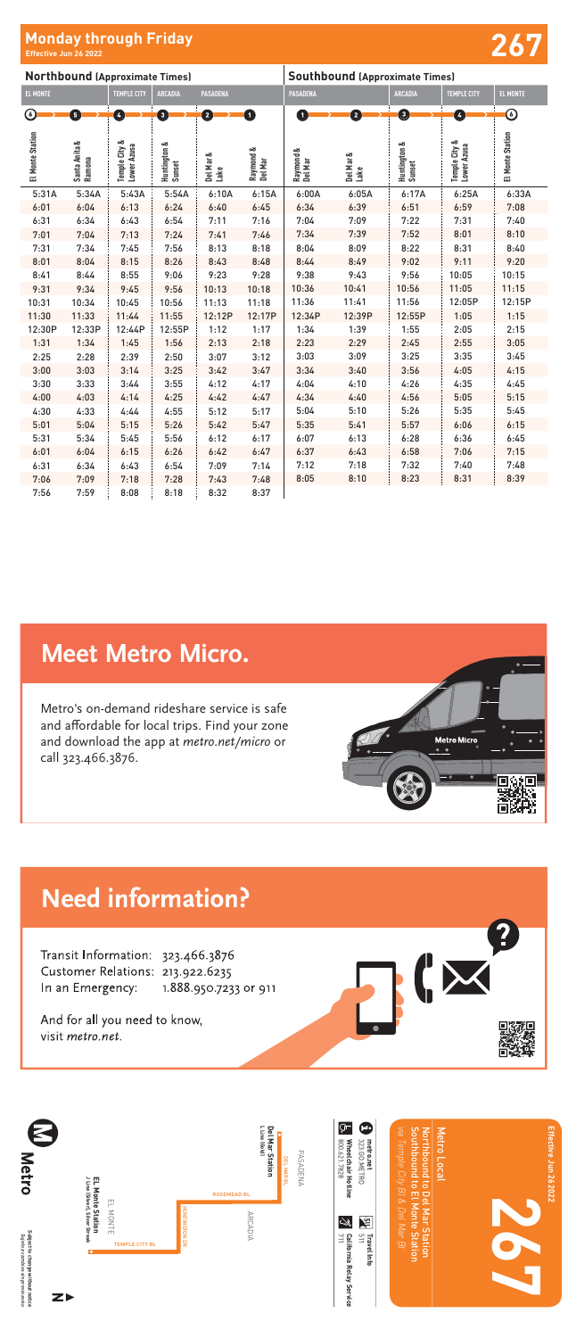Subject to change without notice<br>Sujeto a cambios sin previo aviso **Subject to change without notice** *Sujeto a cambios sin previo aviso*

**Metro** 

And for all you need to know, visit metro.net.

| <b>Northbound (Approximate Times)</b> |                         |                              |                        |                   | <b>Southbound (Approximate Times)</b> |                      |                   |                        |                              |                   |
|---------------------------------------|-------------------------|------------------------------|------------------------|-------------------|---------------------------------------|----------------------|-------------------|------------------------|------------------------------|-------------------|
| <b>EL MONTE</b>                       |                         | <b>TEMPLE CITY</b>           | <b>ARCADIA</b>         | <b>PASADENA</b>   |                                       | <b>PASADENA</b>      |                   | <b>ARCADIA</b>         | <b>TEMPLE CITY</b>           | <b>EL MONTE</b>   |
| $\odot$                               | Ó                       | Ø                            | 0                      | 2                 | O                                     | 0                    | Ø                 | 0                      | $\bullet$                    | $\bm{\copyright}$ |
| El Monte Station                      | Santa Anita &<br>Ramona | Temple City &<br>Lower Azusa | Huntington &<br>Sunset | Del Mar &<br>Lake | Raymond &<br>Del Mar                  | Raymond &<br>Del Mar | Del Mar &<br>Lake | Huntington &<br>Sunset | Temple City &<br>Lower Azusa | El Monte Station  |
| 5:31A                                 | 5:34A                   | 5:43A                        | 5:54A                  | 6:10A             | 6:15A                                 | 6:00A                | 6:05A             | 6:17A                  | 6:25A                        | 6:33A             |
| 6:01                                  | 6:04                    | 6:13                         | 6:24                   | 6:40              | 6:45                                  | 6:34                 | 6:39              | 6:51                   | 6:59                         | 7:08              |
| 6:31                                  | 6:34                    | 6:43                         | 6:54                   | 7:11              | 7:16                                  | 7:04                 | 7:09              | 7:22                   | 7:31                         | 7:40              |
| 7:01                                  | 7:04                    | 7:13                         | 7:24                   | 7:41              | 7:46                                  | 7:34                 | 7:39              | 7:52                   | 8:01                         | 8:10              |
| 7:31                                  | 7:34                    | 7:45                         | 7:56                   | 8:13              | 8:18                                  | 8:04                 | 8:09              | 8:22                   | 8:31                         | 8:40              |
| 8:01                                  | 8:04                    | 8:15                         | 8:26                   | 8:43              | 8:48                                  | 8:44                 | 8:49              | 9:02                   | 9:11                         | 9:20              |
| 8:41                                  | 8:44                    | 8:55                         | 9:06                   | 9:23              | 9:28                                  | 9:38                 | 9:43              | 9:56                   | 10:05                        | 10:15             |
| 9:31                                  | 9:34                    | 9:45                         | 9:56                   | 10:13             | 10:18                                 | 10:36                | 10:41             | 10:56                  | 11:05                        | 11:15             |
| 10:31                                 | 10:34                   | 10:45                        | 10:56                  | 11:13             | 11:18                                 | 11:36                | 11:41             | 11:56                  | 12:05P                       | 12:15P            |
| 11:30                                 | 11:33                   | 11:44                        | 11:55                  | 12:12P            | 12:17P                                | 12:34P               | 12:39P            | 12:55P                 | 1:05                         | 1:15              |
| 12:30P                                | 12:33P                  | 12:44P                       | 12:55P                 | 1:12              | 1:17                                  | 1:34                 | 1:39              | 1:55                   | 2:05                         | 2:15              |
| 1:31                                  | 1:34                    | 1:45                         | 1:56                   | 2:13              | 2:18                                  | 2:23                 | 2:29              | 2:45                   | 2:55                         | 3:05              |
| 2:25                                  | 2:28                    | 2:39                         | 2:50                   | 3:07              | 3:12                                  | 3:03                 | 3:09              | 3:25                   | 3:35                         | 3:45              |
| 3:00                                  | 3:03                    | 3:14                         | 3:25                   | 3:42              | 3:47                                  | 3:34                 | 3:40              | 3:56                   | 4:05                         | 4:15              |
| 3:30                                  | 3:33                    | 3:44                         | 3:55                   | 4:12              | 4:17                                  | 4:04                 | 4:10              | 4:26                   | 4:35                         | 4:45              |
| 4:00                                  | 4:03                    | 4:14                         | 4:25                   | 4:42              | 4:47                                  | 4:34                 | 4:40              | 4:56                   | 5:05                         | 5:15              |
| 4:30                                  | 4:33                    | 4:44                         | 4:55                   | 5:12              | 5:17                                  | 5:04                 | 5:10              | 5:26                   | 5:35                         | 5:45              |
| 5:01                                  | 5:04                    | 5:15                         | 5:26                   | 5:42              | 5:47                                  | 5:35                 | 5:41              | 5:57                   | 6:06                         | 6:15              |
| 5:31                                  | 5:34                    | 5:45                         | 5:56                   | 6:12              | 6:17                                  | 6:07                 | 6:13              | 6:28                   | 6:36                         | 6:45              |
| 6:01                                  | 6:04                    | 6:15                         | 6:26                   | 6:42              | 6:47                                  | 6:37                 | 6:43              | 6:58                   | 7:06                         | 7:15              |
| 6:31                                  | 6:34                    | 6:43                         | 6:54                   | 7:09              | 7:14                                  | 7:12                 | 7:18              | 7:32                   | 7:40                         | 7:48              |
| 7:06                                  | 7:09                    | 7:18                         | 7:28                   | 7:43              | 7:48                                  | 8:05                 | 8:10              | 8:23                   | 8:31                         | 8:39              |
| 7:56                                  | 7:59                    | 8:08                         | 8:18                   | 8:32              | 8:37                                  |                      |                   |                        |                              |                   |

## **Meet Metro Micro.**

Metro's on-demand rideshare service is safe and affordable for local trips. Find your zone and download the app at metro.net/micro or call 323.466.3876.



# **Need information?**

Transit Information: 323.466.3876 Customer Relations: 213.922.6235 In an Emergency: 1.888.950.7233 or 911

Metro's on-demand rideshare service is safe